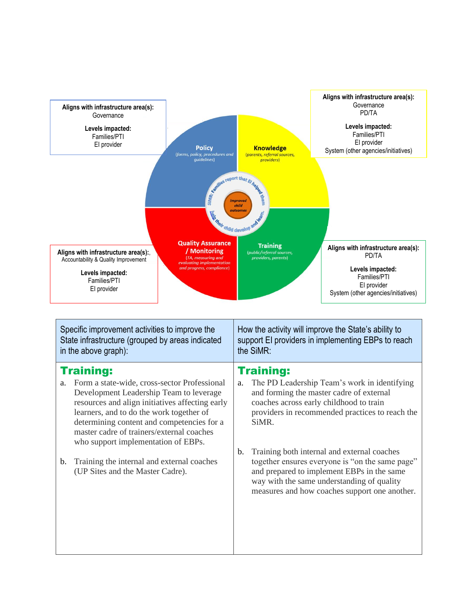

| Specific improvement activities to improve the<br>State infrastructure (grouped by areas indicated<br>in the above graph): |                                                                                                                                                                                                                                                                          | How the activity will improve the State's ability to<br>support EI providers in implementing EBPs to reach<br>the SiMR: |                                                                                                                                                                                                                                             |
|----------------------------------------------------------------------------------------------------------------------------|--------------------------------------------------------------------------------------------------------------------------------------------------------------------------------------------------------------------------------------------------------------------------|-------------------------------------------------------------------------------------------------------------------------|---------------------------------------------------------------------------------------------------------------------------------------------------------------------------------------------------------------------------------------------|
| a.                                                                                                                         | <b>Training:</b><br>Form a state-wide, cross-sector Professional                                                                                                                                                                                                         | a.                                                                                                                      | <b>Training:</b><br>The PD Leadership Team's work in identifying                                                                                                                                                                            |
|                                                                                                                            | Development Leadership Team to leverage<br>resources and align initiatives affecting early<br>learners, and to do the work together of<br>determining content and competencies for a<br>master cadre of trainers/external coaches<br>who support implementation of EBPs. |                                                                                                                         | and forming the master cadre of external<br>coaches across early childhood to train<br>providers in recommended practices to reach the<br>SiMR.                                                                                             |
| b.                                                                                                                         | Training the internal and external coaches<br>(UP Sites and the Master Cadre).                                                                                                                                                                                           | $\mathbf{b}$ .                                                                                                          | Training both internal and external coaches<br>together ensures everyone is "on the same page"<br>and prepared to implement EBPs in the same<br>way with the same understanding of quality<br>measures and how coaches support one another. |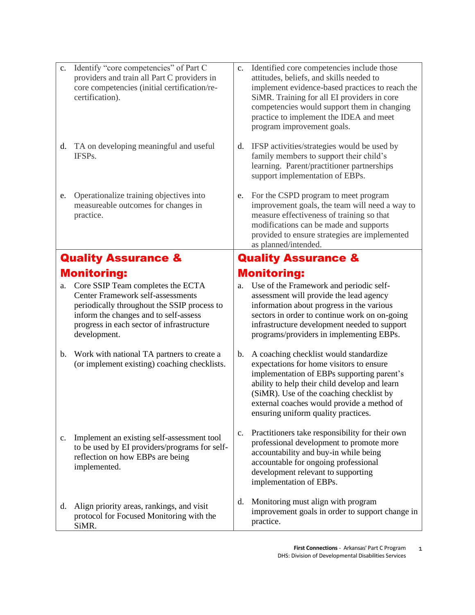| c.                             | Identify "core competencies" of Part C<br>providers and train all Part C providers in<br>core competencies (initial certification/re-<br>certification).                                                                           | c.             | Identified core competencies include those<br>attitudes, beliefs, and skills needed to<br>implement evidence-based practices to reach the<br>SiMR. Training for all EI providers in core<br>competencies would support them in changing<br>practice to implement the IDEA and meet<br>program improvement goals.   |  |  |
|--------------------------------|------------------------------------------------------------------------------------------------------------------------------------------------------------------------------------------------------------------------------------|----------------|--------------------------------------------------------------------------------------------------------------------------------------------------------------------------------------------------------------------------------------------------------------------------------------------------------------------|--|--|
|                                | d. TA on developing meaningful and useful<br>IFSPs.                                                                                                                                                                                | d.             | IFSP activities/strategies would be used by<br>family members to support their child's<br>learning. Parent/practitioner partnerships<br>support implementation of EBPs.                                                                                                                                            |  |  |
| e.                             | Operationalize training objectives into<br>measureable outcomes for changes in<br>practice.                                                                                                                                        | e.             | For the CSPD program to meet program<br>improvement goals, the team will need a way to<br>measure effectiveness of training so that<br>modifications can be made and supports<br>provided to ensure strategies are implemented<br>as planned/intended.                                                             |  |  |
| <b>Quality Assurance &amp;</b> |                                                                                                                                                                                                                                    |                | <b>Quality Assurance &amp;</b>                                                                                                                                                                                                                                                                                     |  |  |
|                                | <b>Monitoring:</b>                                                                                                                                                                                                                 |                | <b>Monitoring:</b>                                                                                                                                                                                                                                                                                                 |  |  |
| a.                             | Core SSIP Team completes the ECTA<br><b>Center Framework self-assessments</b><br>periodically throughout the SSIP process to<br>inform the changes and to self-assess<br>progress in each sector of infrastructure<br>development. | a.             | Use of the Framework and periodic self-<br>assessment will provide the lead agency<br>information about progress in the various<br>sectors in order to continue work on on-going<br>infrastructure development needed to support<br>programs/providers in implementing EBPs.                                       |  |  |
| b.                             | Work with national TA partners to create a<br>(or implement existing) coaching checklists.                                                                                                                                         | $\mathbf b$ .  | A coaching checklist would standardize<br>expectations for home visitors to ensure<br>implementation of EBPs supporting parent's<br>ability to help their child develop and learn<br>(SiMR). Use of the coaching checklist by<br>external coaches would provide a method of<br>ensuring uniform quality practices. |  |  |
| $\mathbf{c}$ .                 | Implement an existing self-assessment tool<br>to be used by EI providers/programs for self-<br>reflection on how EBPs are being<br>implemented.                                                                                    | $\mathbf{c}$ . | Practitioners take responsibility for their own<br>professional development to promote more<br>accountability and buy-in while being<br>accountable for ongoing professional<br>development relevant to supporting<br>implementation of EBPs.                                                                      |  |  |
| d.                             | Align priority areas, rankings, and visit<br>protocol for Focused Monitoring with the<br>SiMR.                                                                                                                                     | d.             | Monitoring must align with program<br>improvement goals in order to support change in<br>practice.                                                                                                                                                                                                                 |  |  |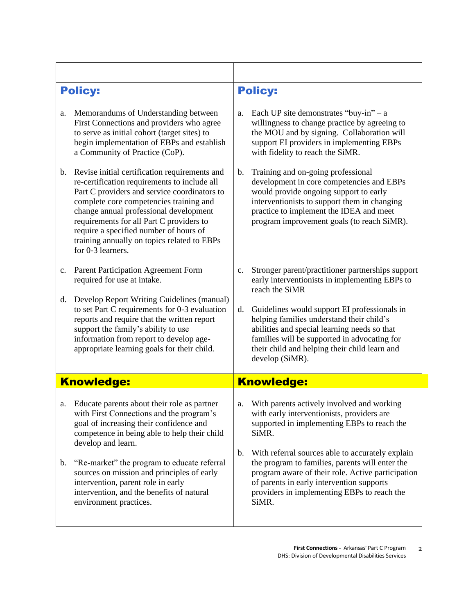| <b>Policy:</b>    |                                                                                                                                                                                                                                                                                                                                                                                              | <b>Policy:</b> |                                                                                                                                                                                                                                                                    |  |
|-------------------|----------------------------------------------------------------------------------------------------------------------------------------------------------------------------------------------------------------------------------------------------------------------------------------------------------------------------------------------------------------------------------------------|----------------|--------------------------------------------------------------------------------------------------------------------------------------------------------------------------------------------------------------------------------------------------------------------|--|
| a.                | Memorandums of Understanding between<br>First Connections and providers who agree<br>to serve as initial cohort (target sites) to<br>begin implementation of EBPs and establish<br>a Community of Practice (CoP).                                                                                                                                                                            | a.             | Each UP site demonstrates "buy-in" $- a$<br>willingness to change practice by agreeing to<br>the MOU and by signing. Collaboration will<br>support EI providers in implementing EBPs<br>with fidelity to reach the SiMR.                                           |  |
| $\mathbf b$ .     | Revise initial certification requirements and<br>re-certification requirements to include all<br>Part C providers and service coordinators to<br>complete core competencies training and<br>change annual professional development<br>requirements for all Part C providers to<br>require a specified number of hours of<br>training annually on topics related to EBPs<br>for 0-3 learners. | b.             | Training and on-going professional<br>development in core competencies and EBPs<br>would provide ongoing support to early<br>interventionists to support them in changing<br>practice to implement the IDEA and meet<br>program improvement goals (to reach SiMR). |  |
| c.                | Parent Participation Agreement Form<br>required for use at intake.                                                                                                                                                                                                                                                                                                                           | $\mathbf{c}$ . | Stronger parent/practitioner partnerships support<br>early interventionists in implementing EBPs to<br>reach the SiMR                                                                                                                                              |  |
| d.                | Develop Report Writing Guidelines (manual)<br>to set Part C requirements for 0-3 evaluation<br>reports and require that the written report<br>support the family's ability to use<br>information from report to develop age-<br>appropriate learning goals for their child.                                                                                                                  | d.             | Guidelines would support EI professionals in<br>helping families understand their child's<br>abilities and special learning needs so that<br>families will be supported in advocating for<br>their child and helping their child learn and<br>develop (SiMR).      |  |
| <b>Knowledge:</b> |                                                                                                                                                                                                                                                                                                                                                                                              |                | <b>Knowledge:</b>                                                                                                                                                                                                                                                  |  |
| a.                | Educate parents about their role as partner<br>with First Connections and the program's<br>goal of increasing their confidence and<br>competence in being able to help their child<br>develop and learn.                                                                                                                                                                                     | a.             | With parents actively involved and working<br>with early interventionists, providers are<br>supported in implementing EBPs to reach the<br>SiMR.                                                                                                                   |  |
| b.                | "Re-market" the program to educate referral<br>sources on mission and principles of early<br>intervention, parent role in early<br>intervention, and the benefits of natural<br>environment practices.                                                                                                                                                                                       | $\mathbf b$ .  | With referral sources able to accurately explain<br>the program to families, parents will enter the<br>program aware of their role. Active participation<br>of parents in early intervention supports<br>providers in implementing EBPs to reach the<br>SiMR.      |  |